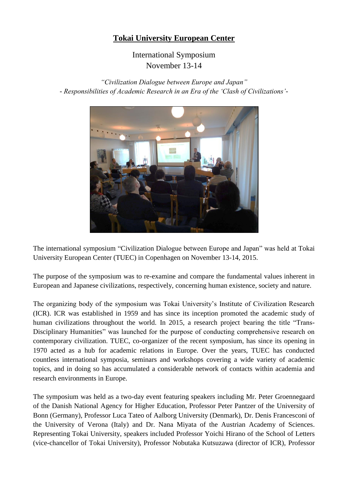## **Tokai University European Center**

International Symposium November 13-14

*"Civilization Dialogue between Europe and Japan" - Responsibilities of Academic Research in an Era of the 'Clash of Civilizations'-*



The international symposium "Civilization Dialogue between Europe and Japan" was held at Tokai University European Center (TUEC) in Copenhagen on November 13-14, 2015.

The purpose of the symposium was to re-examine and compare the fundamental values inherent in European and Japanese civilizations, respectively, concerning human existence, society and nature.

The organizing body of the symposium was Tokai University's Institute of Civilization Research (ICR). ICR was established in 1959 and has since its inception promoted the academic study of human civilizations throughout the world. In 2015, a research project bearing the title "Trans-Disciplinary Humanities" was launched for the purpose of conducting comprehensive research on contemporary civilization. TUEC, co-organizer of the recent symposium, has since its opening in 1970 acted as a hub for academic relations in Europe. Over the years, TUEC has conducted countless international symposia, seminars and workshops covering a wide variety of academic topics, and in doing so has accumulated a considerable network of contacts within academia and research environments in Europe.

The symposium was held as a two-day event featuring speakers including Mr. Peter Groennegaard of the Danish National Agency for Higher Education, Professor Peter Pantzer of the University of Bonn (Germany), Professor Luca Tateo of Aalborg University (Denmark), Dr. Denis Francesconi of the University of Verona (Italy) and Dr. Nana Miyata of the Austrian Academy of Sciences. Representing Tokai University, speakers included Professor Yoichi Hirano of the School of Letters (vice-chancellor of Tokai University), Professor Nobutaka Kutsuzawa (director of ICR), Professor